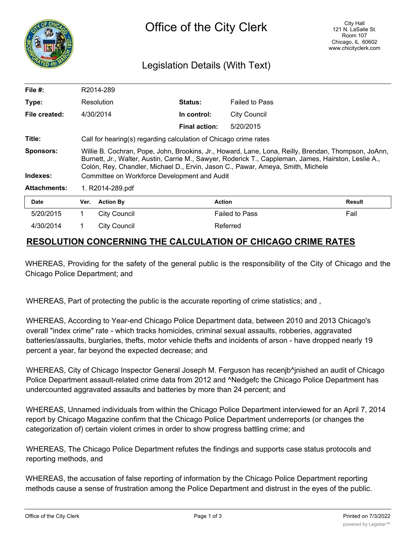

## Legislation Details (With Text)

| File $#$ :          | R2014-289                                                                                                                                                                                                                                                                                      |                     |                      |                       |               |
|---------------------|------------------------------------------------------------------------------------------------------------------------------------------------------------------------------------------------------------------------------------------------------------------------------------------------|---------------------|----------------------|-----------------------|---------------|
| Type:               | Resolution                                                                                                                                                                                                                                                                                     |                     | <b>Status:</b>       | <b>Failed to Pass</b> |               |
| File created:       |                                                                                                                                                                                                                                                                                                | 4/30/2014           | In control:          | <b>City Council</b>   |               |
|                     |                                                                                                                                                                                                                                                                                                |                     | <b>Final action:</b> | 5/20/2015             |               |
| Title:              | Call for hearing(s) regarding calculation of Chicago crime rates                                                                                                                                                                                                                               |                     |                      |                       |               |
| <b>Sponsors:</b>    | Willie B. Cochran, Pope, John, Brookins, Jr., Howard, Lane, Lona, Reilly, Brendan, Thompson, JoAnn,<br>Burnett, Jr., Walter, Austin, Carrie M., Sawyer, Roderick T., Cappleman, James, Hairston, Leslie A.,<br>Colón, Rey, Chandler, Michael D., Ervin, Jason C., Pawar, Ameya, Smith, Michele |                     |                      |                       |               |
| Indexes:            | Committee on Workforce Development and Audit                                                                                                                                                                                                                                                   |                     |                      |                       |               |
| <b>Attachments:</b> | 1. R2014-289.pdf                                                                                                                                                                                                                                                                               |                     |                      |                       |               |
| <b>Date</b>         | Ver.                                                                                                                                                                                                                                                                                           | <b>Action By</b>    |                      | <b>Action</b>         | <b>Result</b> |
| 5/20/2015           | 1                                                                                                                                                                                                                                                                                              | <b>City Council</b> |                      | <b>Failed to Pass</b> | Fail          |
| 4/30/2014           |                                                                                                                                                                                                                                                                                                | <b>City Council</b> |                      | Referred              |               |

## **RESOLUTION CONCERNING THE CALCULATION OF CHICAGO CRIME RATES**

WHEREAS, Providing for the safety of the general public is the responsibility of the City of Chicago and the Chicago Police Department; and

WHEREAS, Part of protecting the public is the accurate reporting of crime statistics; and ,

WHEREAS, According to Year-end Chicago Police Department data, between 2010 and 2013 Chicago's overall "index crime" rate - which tracks homicides, criminal sexual assaults, robberies, aggravated batteries/assaults, burglaries, thefts, motor vehicle thefts and incidents of arson - have dropped nearly 19 percent a year, far beyond the expected decrease; and

WHEREAS, City of Chicago Inspector General Joseph M. Ferguson has recenjb^jnished an audit of Chicago Police Department assault-related crime data from 2012 and ^Nedgefc the Chicago Police Department has undercounted aggravated assaults and batteries by more than 24 percent; and

WHEREAS, Unnamed individuals from within the Chicago Police Department interviewed for an April 7, 2014 report by Chicago Magazine confirm that the Chicago Police Department underreports (or changes the categorization of) certain violent crimes in order to show progress battling crime; and

WHEREAS, The Chicago Police Department refutes the findings and supports case status protocols and reporting methods, and

WHEREAS, the accusation of false reporting of information by the Chicago Police Department reporting methods cause a sense of frustration among the Police Department and distrust in the eyes of the public.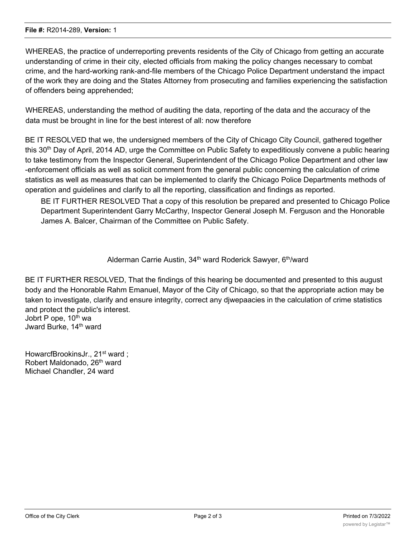WHEREAS, the practice of underreporting prevents residents of the City of Chicago from getting an accurate understanding of crime in their city, elected officials from making the policy changes necessary to combat crime, and the hard-working rank-and-file members of the Chicago Police Department understand the impact of the work they are doing and the States Attorney from prosecuting and families experiencing the satisfaction of offenders being apprehended;

WHEREAS, understanding the method of auditing the data, reporting of the data and the accuracy of the data must be brought in line for the best interest of all: now therefore

BE IT RESOLVED that we, the undersigned members of the City of Chicago City Council, gathered together this 30th Day of April, 2014 AD, urge the Committee on Public Safety to expeditiously convene a public hearing to take testimony from the Inspector General, Superintendent of the Chicago Police Department and other law -enforcement officials as well as solicit comment from the general public concerning the calculation of crime statistics as well as measures that can be implemented to clarify the Chicago Police Departments methods of operation and guidelines and clarify to all the reporting, classification and findings as reported.

BE IT FURTHER RESOLVED That a copy of this resolution be prepared and presented to Chicago Police Department Superintendent Garry McCarthy, Inspector General Joseph M. Ferguson and the Honorable James A. Balcer, Chairman of the Committee on Public Safety.

Alderman Carrie Austin, 34<sup>th</sup> ward Roderick Sawyer, 6<sup>th</sup>/ward

BE IT FURTHER RESOLVED, That the findings of this hearing be documented and presented to this august body and the Honorable Rahm Emanuel, Mayor of the City of Chicago, so that the appropriate action may be taken to investigate, clarify and ensure integrity, correct any djwepaacies in the calculation of crime statistics and protect the public's interest. Jobrt P ope, 10<sup>th</sup> wa

Jward Burke, 14<sup>th</sup> ward

HowarcfBrookinsJr., 21<sup>st</sup> ward; Robert Maldonado, 26<sup>th</sup> ward Michael Chandler, 24 ward